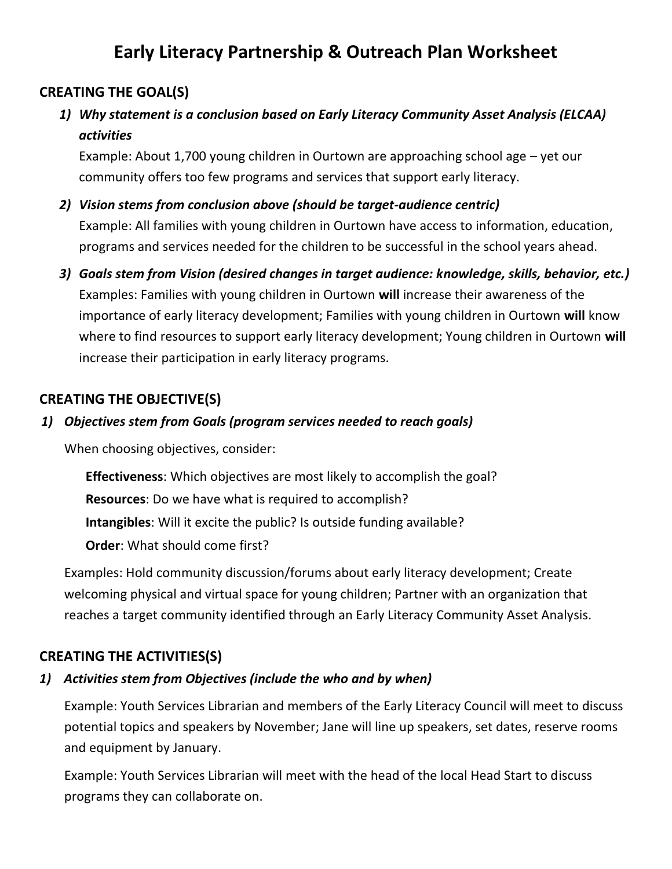# **Early Literacy Partnership & Outreach Plan Worksheet**

## **CREATING THE GOAL(S)**

*1) Why statement is a conclusion based on Early Literacy Community Asset Analysis (ELCAA) activities*

Example: About 1,700 young children in Ourtown are approaching school age – yet our community offers too few programs and services that support early literacy.

- *2) Vision stems from conclusion above (should be target-audience centric)* Example: All families with young children in Ourtown have access to information, education, programs and services needed for the children to be successful in the school years ahead.
- *3) Goals stem from Vision (desired changes in target audience: knowledge, skills, behavior, etc.)* Examples: Families with young children in Ourtown **will** increase their awareness of the importance of early literacy development; Families with young children in Ourtown **will** know where to find resources to support early literacy development; Young children in Ourtown **will**  increase their participation in early literacy programs.

### **CREATING THE OBJECTIVE(S)**

#### *1) Objectives stem from Goals (program services needed to reach goals)*

When choosing objectives, consider:

**Effectiveness**: Which objectives are most likely to accomplish the goal? **Resources**: Do we have what is required to accomplish? **Intangibles**: Will it excite the public? Is outside funding available? **Order**: What should come first?

Examples: Hold community discussion/forums about early literacy development; Create welcoming physical and virtual space for young children; Partner with an organization that reaches a target community identified through an Early Literacy Community Asset Analysis.

### **CREATING THE ACTIVITIES(S)**

### *1) Activities stem from Objectives (include the who and by when)*

Example: Youth Services Librarian and members of the Early Literacy Council will meet to discuss potential topics and speakers by November; Jane will line up speakers, set dates, reserve rooms and equipment by January.

Example: Youth Services Librarian will meet with the head of the local Head Start to discuss programs they can collaborate on.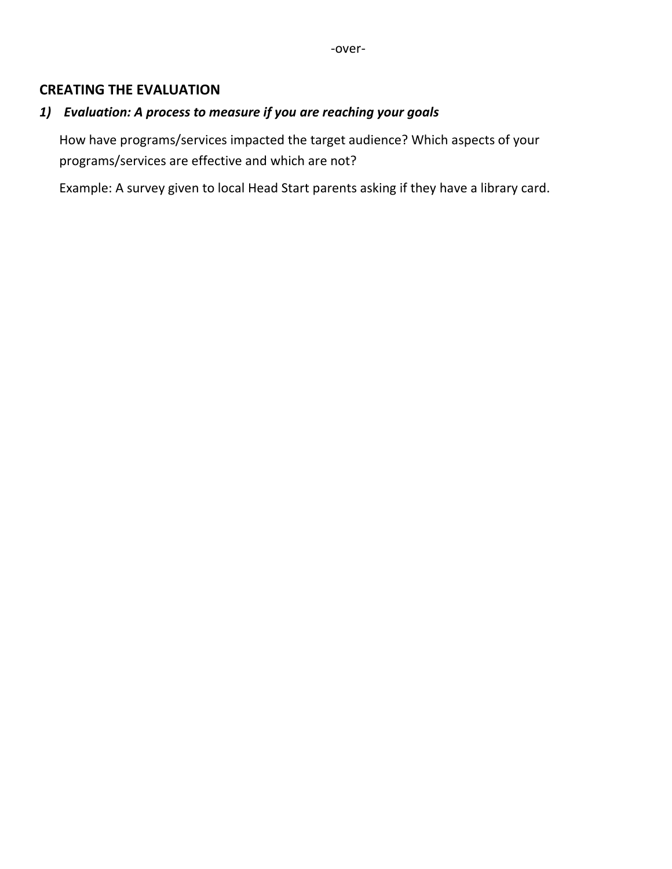#### **CREATING THE EVALUATION**

### *1) Evaluation: A process to measure if you are reaching your goals*

How have programs/services impacted the target audience? Which aspects of your programs/services are effective and which are not?

Example: A survey given to local Head Start parents asking if they have a library card.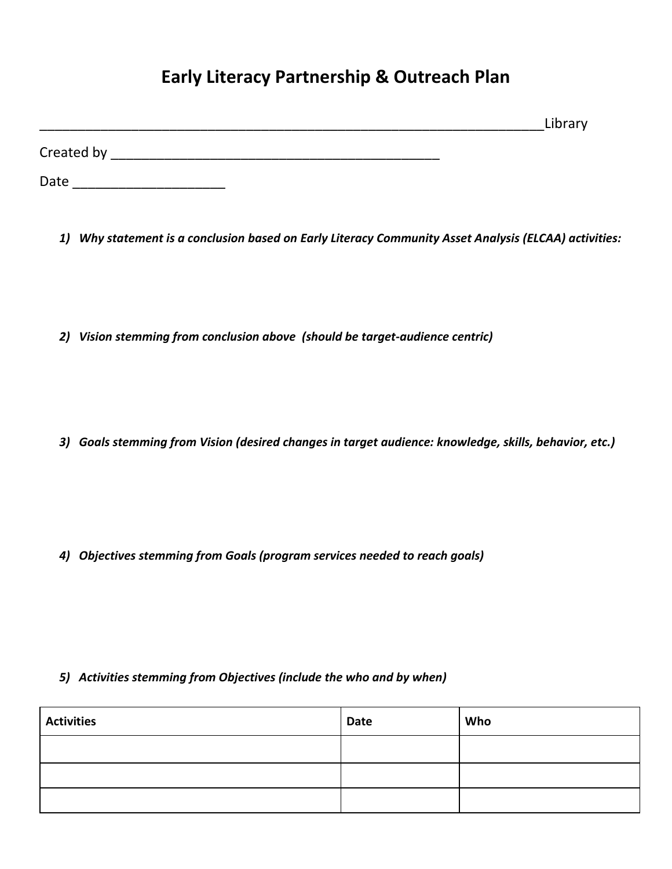# **Early Literacy Partnership & Outreach Plan**

|            | Library |
|------------|---------|
| Created by |         |

Date \_\_\_\_\_\_\_\_\_\_\_\_\_\_\_\_\_\_\_\_

*1) Why statement is a conclusion based on Early Literacy Community Asset Analysis (ELCAA) activities:*

*2) Vision stemming from conclusion above (should be target-audience centric)*

*3) Goals stemming from Vision (desired changes in target audience: knowledge, skills, behavior, etc.)*

*4) Objectives stemming from Goals (program services needed to reach goals)*

#### *5) Activities stemming from Objectives (include the who and by when)*

| <b>Activities</b> | Date | Who |
|-------------------|------|-----|
|                   |      |     |
|                   |      |     |
|                   |      |     |